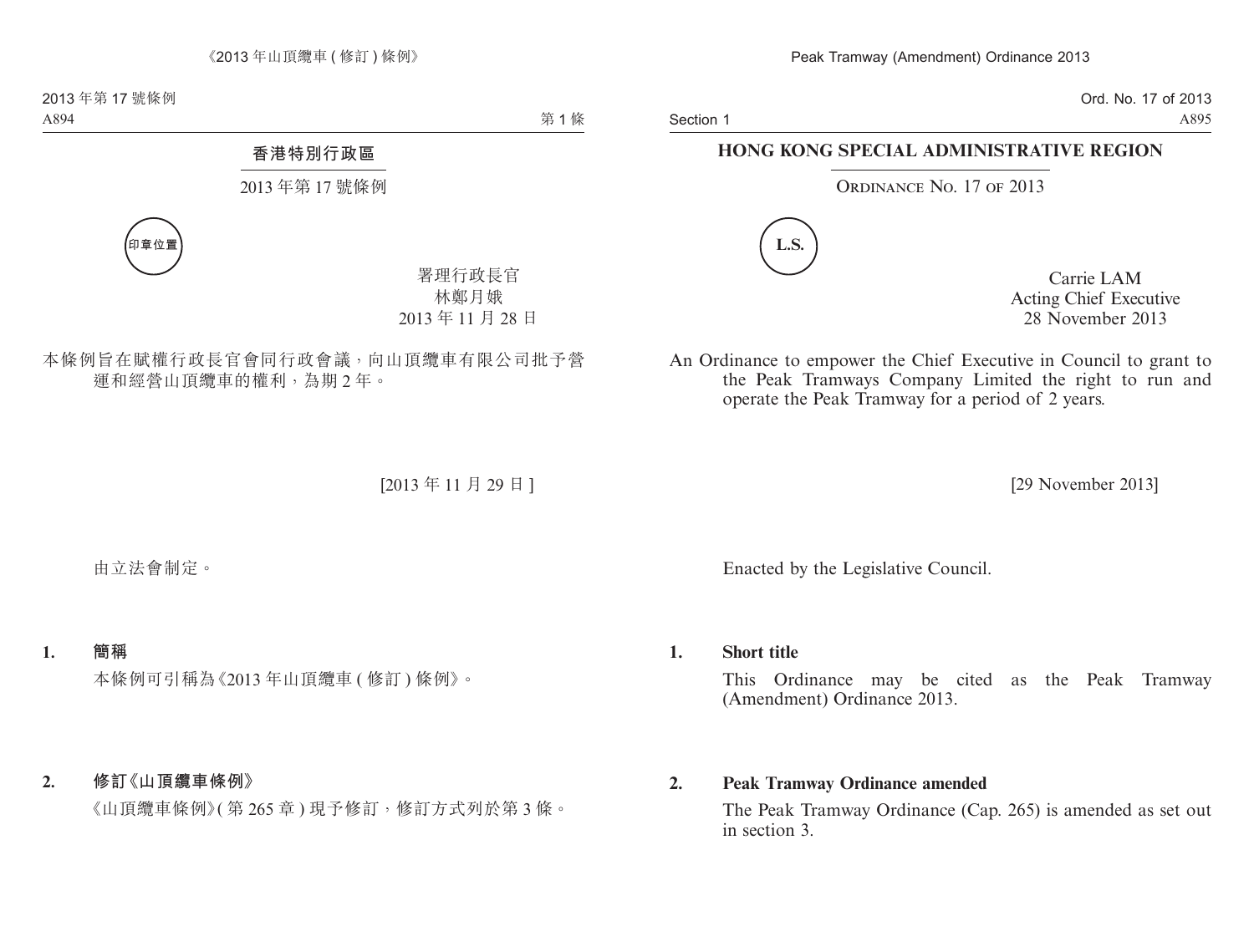Section 1

Ord. No. 17 of 2013 A895

## **HONG KONG SPECIAL ADMINISTRATIVE REGION**

ORDINANCE NO. 17 OF 2013



Carrie LAM Acting Chief Executive 28 November 2013

An Ordinance to empower the Chief Executive in Council to grant to the Peak Tramways Company Limited the right to run and operate the Peak Tramway for a period of 2 years.

[29 November 2013]

Enacted by the Legislative Council.

## **1. Short title**

This Ordinance may be cited as the Peak Tramway (Amendment) Ordinance 2013.

## **2. Peak Tramway Ordinance amended**

The Peak Tramway Ordinance (Cap. 265) is amended as set out in section 3.